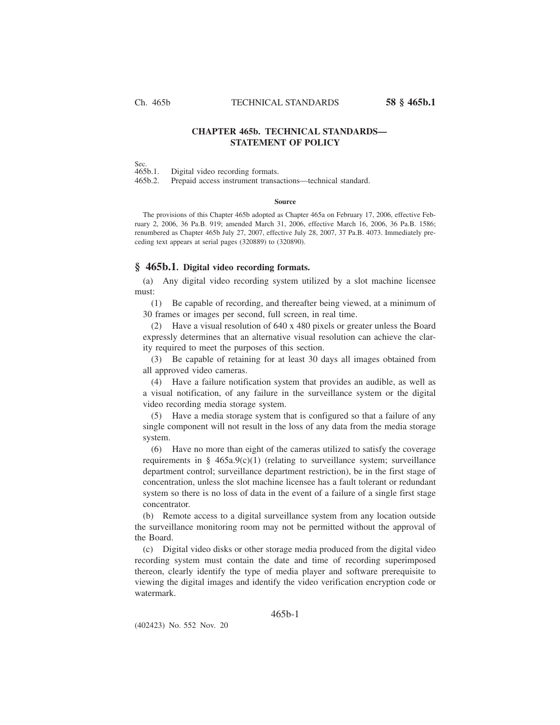# **CHAPTER 465b. TECHNICAL STANDARDS— STATEMENT OF POLICY**

Sec.<br>465b.1. Digital video recording formats.

465b.2. Prepaid access instrument transactions—technical standard.

#### **Source**

The provisions of this Chapter 465b adopted as Chapter 465a on February 17, 2006, effective February 2, 2006, 36 Pa.B. 919; amended March 31, 2006, effective March 16, 2006, 36 Pa.B. 1586; renumbered as Chapter 465b July 27, 2007, effective July 28, 2007, 37 Pa.B. 4073. Immediately preceding text appears at serial pages (320889) to (320890).

### **§ 465b.1. Digital video recording formats.**

(a) Any digital video recording system utilized by a slot machine licensee must:

(1) Be capable of recording, and thereafter being viewed, at a minimum of 30 frames or images per second, full screen, in real time.

(2) Have a visual resolution of 640 x 480 pixels or greater unless the Board expressly determines that an alternative visual resolution can achieve the clarity required to meet the purposes of this section.

(3) Be capable of retaining for at least 30 days all images obtained from all approved video cameras.

(4) Have a failure notification system that provides an audible, as well as a visual notification, of any failure in the surveillance system or the digital video recording media storage system.

(5) Have a media storage system that is configured so that a failure of any single component will not result in the loss of any data from the media storage system.

(6) Have no more than eight of the cameras utilized to satisfy the coverage requirements in  $\S$  465a.9(c)(1) (relating to surveillance system; surveillance department control; surveillance department restriction), be in the first stage of concentration, unless the slot machine licensee has a fault tolerant or redundant system so there is no loss of data in the event of a failure of a single first stage concentrator.

(b) Remote access to a digital surveillance system from any location outside the surveillance monitoring room may not be permitted without the approval of the Board.

(c) Digital video disks or other storage media produced from the digital video recording system must contain the date and time of recording superimposed thereon, clearly identify the type of media player and software prerequisite to viewing the digital images and identify the video verification encryption code or watermark.

### 465b-1

(402423) No. 552 Nov. 20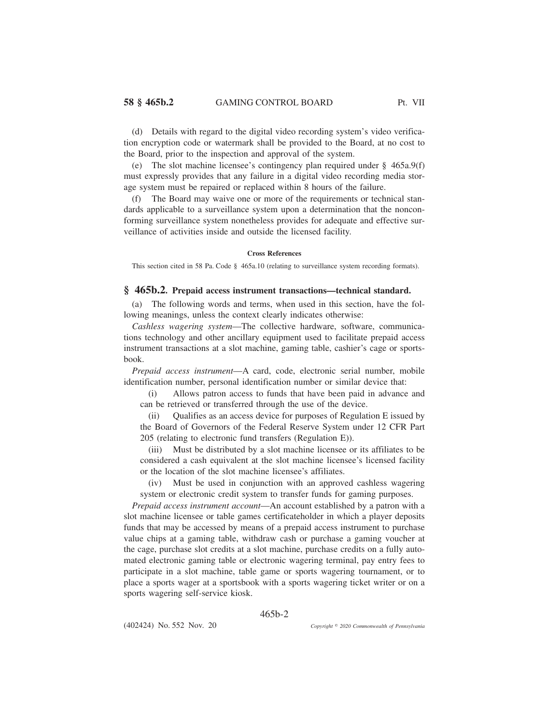(d) Details with regard to the digital video recording system's video verification encryption code or watermark shall be provided to the Board, at no cost to the Board, prior to the inspection and approval of the system.

(e) The slot machine licensee's contingency plan required under § 465a.9(f) must expressly provides that any failure in a digital video recording media storage system must be repaired or replaced within 8 hours of the failure.

(f) The Board may waive one or more of the requirements or technical standards applicable to a surveillance system upon a determination that the nonconforming surveillance system nonetheless provides for adequate and effective surveillance of activities inside and outside the licensed facility.

### **Cross References**

This section cited in 58 Pa. Code § 465a.10 (relating to surveillance system recording formats).

## **§ 465b.2. Prepaid access instrument transactions—technical standard.**

(a) The following words and terms, when used in this section, have the following meanings, unless the context clearly indicates otherwise:

*Cashless wagering system*—The collective hardware, software, communications technology and other ancillary equipment used to facilitate prepaid access instrument transactions at a slot machine, gaming table, cashier's cage or sportsbook.

*Prepaid access instrument*—A card, code, electronic serial number, mobile identification number, personal identification number or similar device that:

(i) Allows patron access to funds that have been paid in advance and can be retrieved or transferred through the use of the device.

(ii) Qualifies as an access device for purposes of Regulation E issued by the Board of Governors of the Federal Reserve System under 12 CFR Part 205 (relating to electronic fund transfers (Regulation E)).

(iii) Must be distributed by a slot machine licensee or its affiliates to be considered a cash equivalent at the slot machine licensee's licensed facility or the location of the slot machine licensee's affiliates.

(iv) Must be used in conjunction with an approved cashless wagering system or electronic credit system to transfer funds for gaming purposes.

*Prepaid access instrument account*—An account established by a patron with a slot machine licensee or table games certificateholder in which a player deposits funds that may be accessed by means of a prepaid access instrument to purchase value chips at a gaming table, withdraw cash or purchase a gaming voucher at the cage, purchase slot credits at a slot machine, purchase credits on a fully automated electronic gaming table or electronic wagering terminal, pay entry fees to participate in a slot machine, table game or sports wagering tournament, or to place a sports wager at a sportsbook with a sports wagering ticket writer or on a sports wagering self-service kiosk.

### 465b-2

(402424) No. 552 Nov. 20

*2020 Commonwealth of Pennsylvania*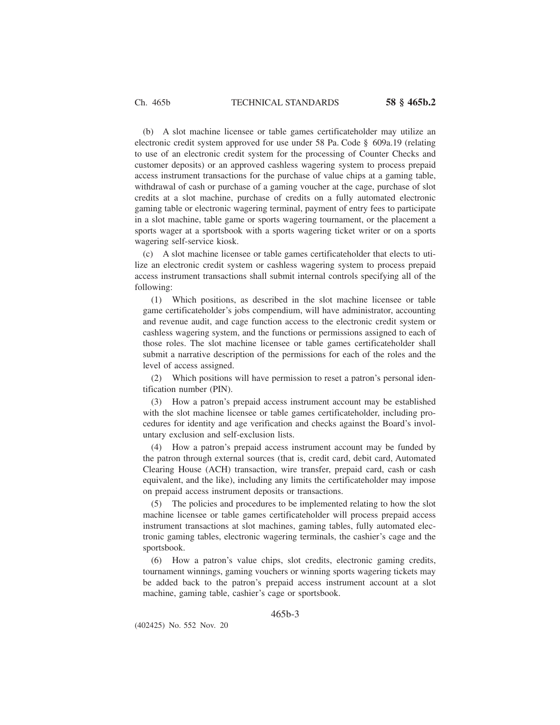(b) A slot machine licensee or table games certificateholder may utilize an electronic credit system approved for use under 58 Pa. Code § 609a.19 (relating to use of an electronic credit system for the processing of Counter Checks and customer deposits) or an approved cashless wagering system to process prepaid access instrument transactions for the purchase of value chips at a gaming table, withdrawal of cash or purchase of a gaming voucher at the cage, purchase of slot credits at a slot machine, purchase of credits on a fully automated electronic gaming table or electronic wagering terminal, payment of entry fees to participate in a slot machine, table game or sports wagering tournament, or the placement a sports wager at a sportsbook with a sports wagering ticket writer or on a sports wagering self-service kiosk.

(c) A slot machine licensee or table games certificateholder that elects to utilize an electronic credit system or cashless wagering system to process prepaid access instrument transactions shall submit internal controls specifying all of the following:

(1) Which positions, as described in the slot machine licensee or table game certificateholder's jobs compendium, will have administrator, accounting and revenue audit, and cage function access to the electronic credit system or cashless wagering system, and the functions or permissions assigned to each of those roles. The slot machine licensee or table games certificateholder shall submit a narrative description of the permissions for each of the roles and the level of access assigned.

(2) Which positions will have permission to reset a patron's personal identification number (PIN).

(3) How a patron's prepaid access instrument account may be established with the slot machine licensee or table games certificateholder, including procedures for identity and age verification and checks against the Board's involuntary exclusion and self-exclusion lists.

(4) How a patron's prepaid access instrument account may be funded by the patron through external sources (that is, credit card, debit card, Automated Clearing House (ACH) transaction, wire transfer, prepaid card, cash or cash equivalent, and the like), including any limits the certificateholder may impose on prepaid access instrument deposits or transactions.

(5) The policies and procedures to be implemented relating to how the slot machine licensee or table games certificateholder will process prepaid access instrument transactions at slot machines, gaming tables, fully automated electronic gaming tables, electronic wagering terminals, the cashier's cage and the sportsbook.

(6) How a patron's value chips, slot credits, electronic gaming credits, tournament winnings, gaming vouchers or winning sports wagering tickets may be added back to the patron's prepaid access instrument account at a slot machine, gaming table, cashier's cage or sportsbook.

465b-3

(402425) No. 552 Nov. 20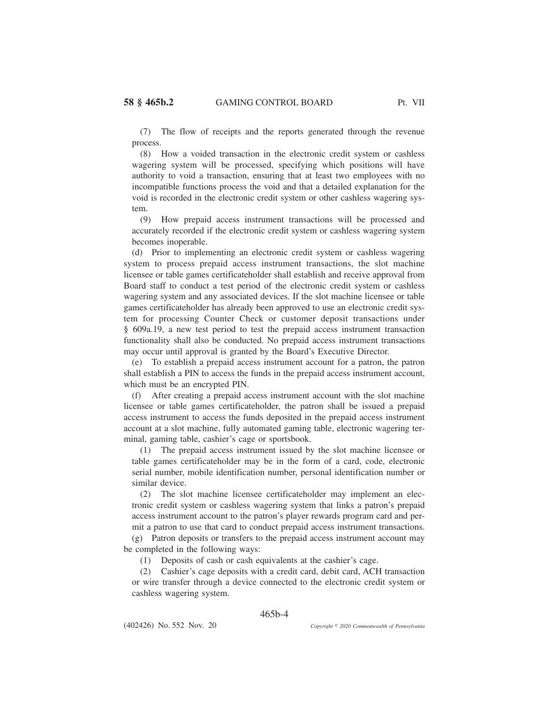(7) The flow of receipts and the reports generated through the revenue process.

(8) How a voided transaction in the electronic credit system or cashless wagering system will be processed, specifying which positions will have authority to void a transaction, ensuring that at least two employees with no incompatible functions process the void and that a detailed explanation for the void is recorded in the electronic credit system or other cashless wagering system.

(9) How prepaid access instrument transactions will be processed and accurately recorded if the electronic credit system or cashless wagering system becomes inoperable.

(d) Prior to implementing an electronic credit system or cashless wagering system to process prepaid access instrument transactions, the slot machine licensee or table games certificateholder shall establish and receive approval from Board staff to conduct a test period of the electronic credit system or cashless wagering system and any associated devices. If the slot machine licensee or table games certificateholder has already been approved to use an electronic credit system for processing Counter Check or customer deposit transactions under § 609a.19, a new test period to test the prepaid access instrument transaction functionality shall also be conducted. No prepaid access instrument transactions may occur until approval is granted by the Board's Executive Director.

(e) To establish a prepaid access instrument account for a patron, the patron shall establish a PIN to access the funds in the prepaid access instrument account, which must be an encrypted PIN.

(f) After creating a prepaid access instrument account with the slot machine licensee or table games certificateholder, the patron shall be issued a prepaid access instrument to access the funds deposited in the prepaid access instrument account at a slot machine, fully automated gaming table, electronic wagering terminal, gaming table, cashier's cage or sportsbook.

(1) The prepaid access instrument issued by the slot machine licensee or table games certificateholder may be in the form of a card, code, electronic serial number, mobile identification number, personal identification number or similar device.

(2) The slot machine licensee certificateholder may implement an electronic credit system or cashless wagering system that links a patron's prepaid access instrument account to the patron's player rewards program card and permit a patron to use that card to conduct prepaid access instrument transactions.

(g) Patron deposits or transfers to the prepaid access instrument account may be completed in the following ways:

(1) Deposits of cash or cash equivalents at the cashier's cage.

(2) Cashier's cage deposits with a credit card, debit card, ACH transaction or wire transfer through a device connected to the electronic credit system or cashless wagering system.

### 465b-4

(402426) No. 552 Nov. 20

*2020 Commonwealth of Pennsylvania*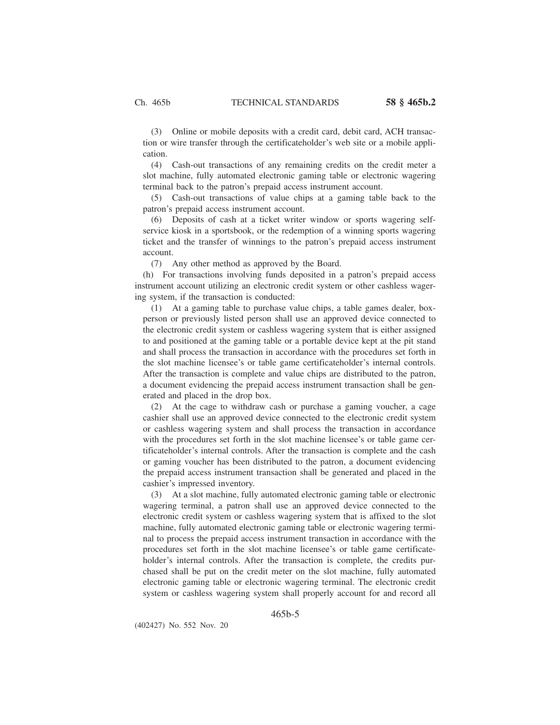(3) Online or mobile deposits with a credit card, debit card, ACH transaction or wire transfer through the certificateholder's web site or a mobile application.

(4) Cash-out transactions of any remaining credits on the credit meter a slot machine, fully automated electronic gaming table or electronic wagering terminal back to the patron's prepaid access instrument account.

(5) Cash-out transactions of value chips at a gaming table back to the patron's prepaid access instrument account.

(6) Deposits of cash at a ticket writer window or sports wagering selfservice kiosk in a sportsbook, or the redemption of a winning sports wagering ticket and the transfer of winnings to the patron's prepaid access instrument account.

(7) Any other method as approved by the Board.

(h) For transactions involving funds deposited in a patron's prepaid access instrument account utilizing an electronic credit system or other cashless wagering system, if the transaction is conducted:

(1) At a gaming table to purchase value chips, a table games dealer, boxperson or previously listed person shall use an approved device connected to the electronic credit system or cashless wagering system that is either assigned to and positioned at the gaming table or a portable device kept at the pit stand and shall process the transaction in accordance with the procedures set forth in the slot machine licensee's or table game certificateholder's internal controls. After the transaction is complete and value chips are distributed to the patron, a document evidencing the prepaid access instrument transaction shall be generated and placed in the drop box.

(2) At the cage to withdraw cash or purchase a gaming voucher, a cage cashier shall use an approved device connected to the electronic credit system or cashless wagering system and shall process the transaction in accordance with the procedures set forth in the slot machine licensee's or table game certificateholder's internal controls. After the transaction is complete and the cash or gaming voucher has been distributed to the patron, a document evidencing the prepaid access instrument transaction shall be generated and placed in the cashier's impressed inventory.

(3) At a slot machine, fully automated electronic gaming table or electronic wagering terminal, a patron shall use an approved device connected to the electronic credit system or cashless wagering system that is affixed to the slot machine, fully automated electronic gaming table or electronic wagering terminal to process the prepaid access instrument transaction in accordance with the procedures set forth in the slot machine licensee's or table game certificateholder's internal controls. After the transaction is complete, the credits purchased shall be put on the credit meter on the slot machine, fully automated electronic gaming table or electronic wagering terminal. The electronic credit system or cashless wagering system shall properly account for and record all

465b-5

(402427) No. 552 Nov. 20